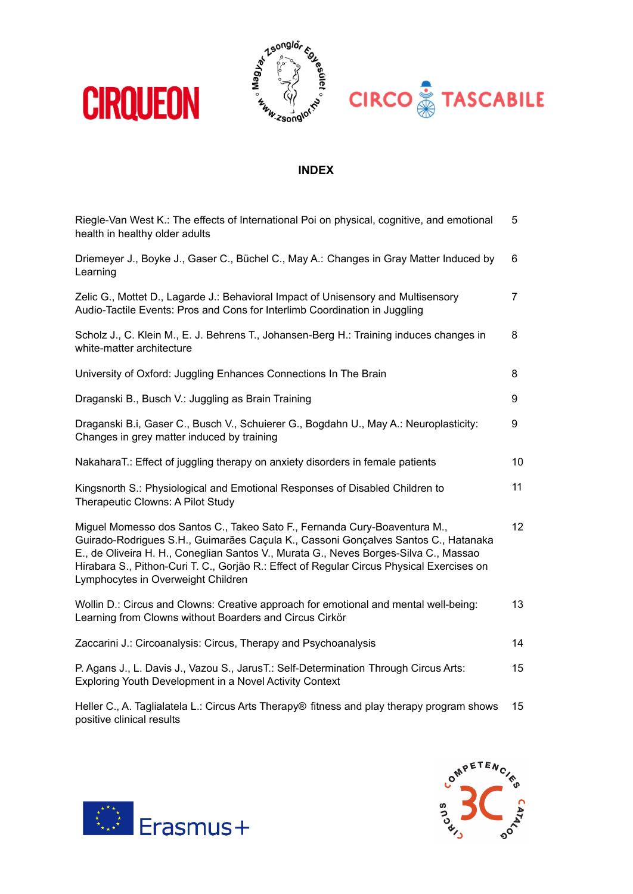

## **INDEX**

| Riegle-Van West K.: The effects of International Poi on physical, cognitive, and emotional<br>health in healthy older adults                                                                                                                                                                                                                                                               | 5  |
|--------------------------------------------------------------------------------------------------------------------------------------------------------------------------------------------------------------------------------------------------------------------------------------------------------------------------------------------------------------------------------------------|----|
| Driemeyer J., Boyke J., Gaser C., Büchel C., May A.: Changes in Gray Matter Induced by<br>Learning                                                                                                                                                                                                                                                                                         | 6  |
| Zelic G., Mottet D., Lagarde J.: Behavioral Impact of Unisensory and Multisensory<br>Audio-Tactile Events: Pros and Cons for Interlimb Coordination in Juggling                                                                                                                                                                                                                            | 7  |
| Scholz J., C. Klein M., E. J. Behrens T., Johansen-Berg H.: Training induces changes in<br>white-matter architecture                                                                                                                                                                                                                                                                       | 8  |
| University of Oxford: Juggling Enhances Connections In The Brain                                                                                                                                                                                                                                                                                                                           | 8  |
| Draganski B., Busch V.: Juggling as Brain Training                                                                                                                                                                                                                                                                                                                                         | 9  |
| Draganski B.i, Gaser C., Busch V., Schuierer G., Bogdahn U., May A.: Neuroplasticity:<br>Changes in grey matter induced by training                                                                                                                                                                                                                                                        | 9  |
| NakaharaT.: Effect of juggling therapy on anxiety disorders in female patients                                                                                                                                                                                                                                                                                                             | 10 |
| Kingsnorth S.: Physiological and Emotional Responses of Disabled Children to<br>Therapeutic Clowns: A Pilot Study                                                                                                                                                                                                                                                                          | 11 |
| Miguel Momesso dos Santos C., Takeo Sato F., Fernanda Cury-Boaventura M.,<br>Guirado-Rodrigues S.H., Guimarães Caçula K., Cassoni Gonçalves Santos C., Hatanaka<br>E., de Oliveira H. H., Coneglian Santos V., Murata G., Neves Borges-Silva C., Massao<br>Hirabara S., Pithon-Curi T. C., Gorjão R.: Effect of Regular Circus Physical Exercises on<br>Lymphocytes in Overweight Children | 12 |
| Wollin D.: Circus and Clowns: Creative approach for emotional and mental well-being:<br>Learning from Clowns without Boarders and Circus Cirkör                                                                                                                                                                                                                                            | 13 |
| Zaccarini J.: Circoanalysis: Circus, Therapy and Psychoanalysis                                                                                                                                                                                                                                                                                                                            | 14 |
| P. Agans J., L. Davis J., Vazou S., JarusT.: Self-Determination Through Circus Arts:<br>Exploring Youth Development in a Novel Activity Context                                                                                                                                                                                                                                            | 15 |
| Heller C., A. Taglialatela L.: Circus Arts Therapy® fitness and play therapy program shows                                                                                                                                                                                                                                                                                                 | 15 |





positive clinical results

**CIRQUEON**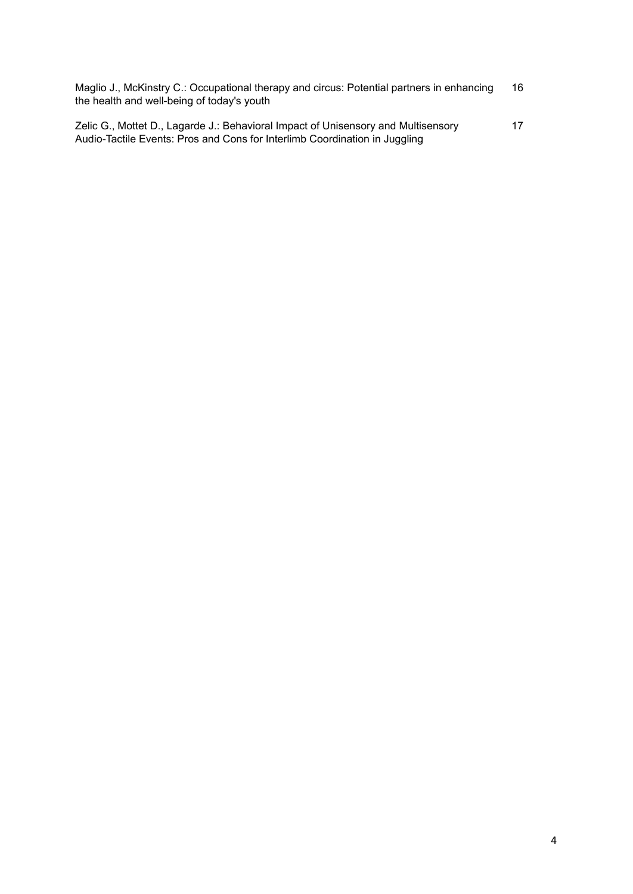| Maglio J., McKinstry C.: Occupational therapy and circus: Potential partners in enhancing | 16 |
|-------------------------------------------------------------------------------------------|----|
| the health and well-being of today's youth                                                |    |

| Zelic G., Mottet D., Lagarde J.: Behavioral Impact of Unisensory and Multisensory | 17 |
|-----------------------------------------------------------------------------------|----|
| Audio-Tactile Events: Pros and Cons for Interlimb Coordination in Juggling        |    |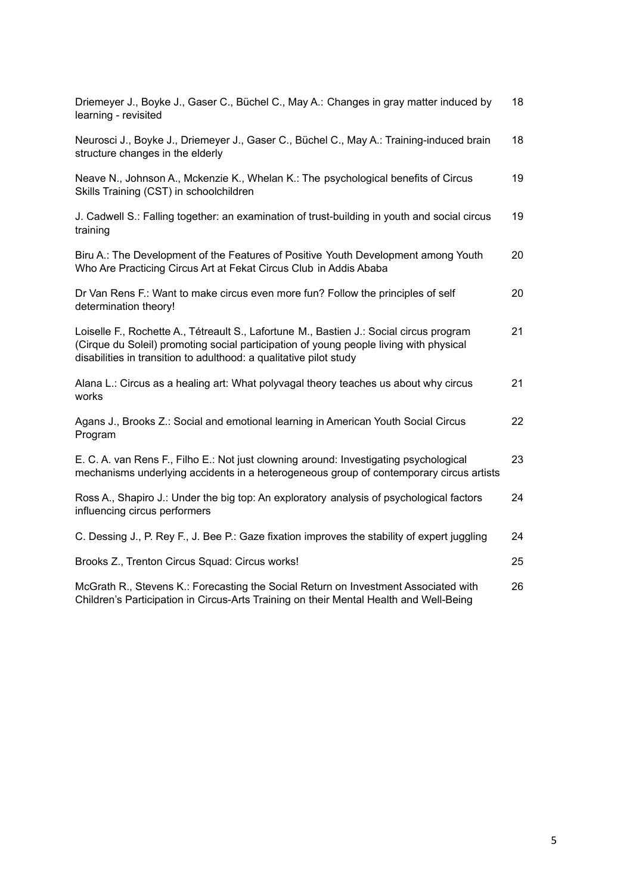| Driemeyer J., Boyke J., Gaser C., Büchel C., May A.: Changes in gray matter induced by<br>learning - revisited                                                                                                                                          | 18 |
|---------------------------------------------------------------------------------------------------------------------------------------------------------------------------------------------------------------------------------------------------------|----|
| Neurosci J., Boyke J., Driemeyer J., Gaser C., Büchel C., May A.: Training-induced brain<br>structure changes in the elderly                                                                                                                            | 18 |
| Neave N., Johnson A., Mckenzie K., Whelan K.: The psychological benefits of Circus<br>Skills Training (CST) in schoolchildren                                                                                                                           | 19 |
| J. Cadwell S.: Falling together: an examination of trust-building in youth and social circus<br>training                                                                                                                                                | 19 |
| Biru A.: The Development of the Features of Positive Youth Development among Youth<br>Who Are Practicing Circus Art at Fekat Circus Club in Addis Ababa                                                                                                 | 20 |
| Dr Van Rens F.: Want to make circus even more fun? Follow the principles of self<br>determination theory!                                                                                                                                               | 20 |
| Loiselle F., Rochette A., Tétreault S., Lafortune M., Bastien J.: Social circus program<br>(Cirque du Soleil) promoting social participation of young people living with physical<br>disabilities in transition to adulthood: a qualitative pilot study | 21 |
| Alana L.: Circus as a healing art: What polyvagal theory teaches us about why circus<br>works                                                                                                                                                           | 21 |
| Agans J., Brooks Z.: Social and emotional learning in American Youth Social Circus<br>Program                                                                                                                                                           | 22 |
| E. C. A. van Rens F., Filho E.: Not just clowning around: Investigating psychological<br>mechanisms underlying accidents in a heterogeneous group of contemporary circus artists                                                                        | 23 |
| Ross A., Shapiro J.: Under the big top: An exploratory analysis of psychological factors<br>influencing circus performers                                                                                                                               | 24 |
| C. Dessing J., P. Rey F., J. Bee P.: Gaze fixation improves the stability of expert juggling                                                                                                                                                            | 24 |
| Brooks Z., Trenton Circus Squad: Circus works!                                                                                                                                                                                                          | 25 |
| McGrath R., Stevens K.: Forecasting the Social Return on Investment Associated with<br>Children's Participation in Circus-Arts Training on their Mental Health and Well-Being                                                                           | 26 |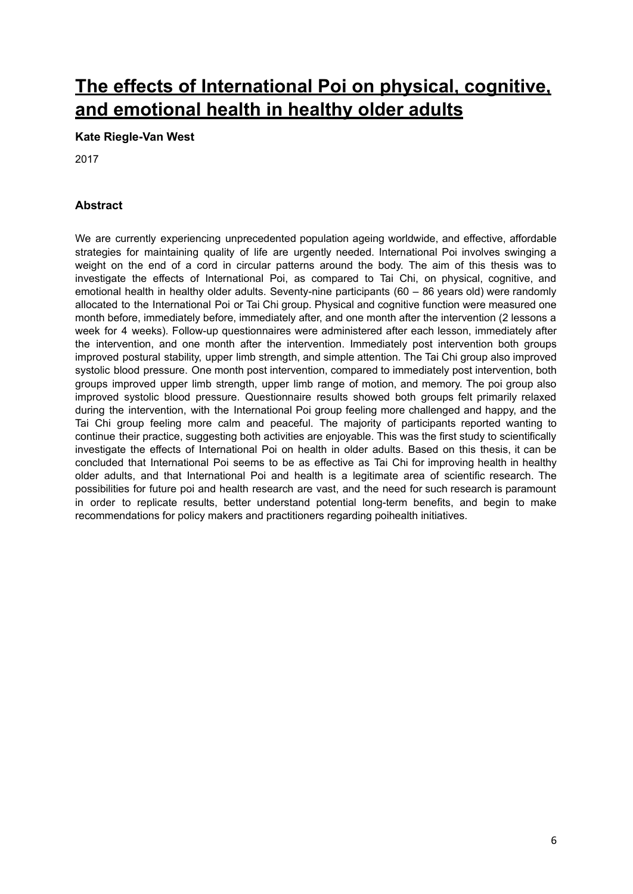## **The effects of [International](https://researchspace.auckland.ac.nz/handle/2292/37338) Poi on physical, cognitive, and [emotional](https://researchspace.auckland.ac.nz/handle/2292/37338) health in healthy older adults**

#### **Kate Riegle-Van West**

2017

### **Abstract**

We are currently experiencing unprecedented population ageing worldwide, and effective, affordable strategies for maintaining quality of life are urgently needed. International Poi involves swinging a weight on the end of a cord in circular patterns around the body. The aim of this thesis was to investigate the effects of International Poi, as compared to Tai Chi, on physical, cognitive, and emotional health in healthy older adults. Seventy-nine participants (60 – 86 years old) were randomly allocated to the International Poi or Tai Chi group. Physical and cognitive function were measured one month before, immediately before, immediately after, and one month after the intervention (2 lessons a week for 4 weeks). Follow-up questionnaires were administered after each lesson, immediately after the intervention, and one month after the intervention. Immediately post intervention both groups improved postural stability, upper limb strength, and simple attention. The Tai Chi group also improved systolic blood pressure. One month post intervention, compared to immediately post intervention, both groups improved upper limb strength, upper limb range of motion, and memory. The poi group also improved systolic blood pressure. Questionnaire results showed both groups felt primarily relaxed during the intervention, with the International Poi group feeling more challenged and happy, and the Tai Chi group feeling more calm and peaceful. The majority of participants reported wanting to continue their practice, suggesting both activities are enjoyable. This was the first study to scientifically investigate the effects of International Poi on health in older adults. Based on this thesis, it can be concluded that International Poi seems to be as effective as Tai Chi for improving health in healthy older adults, and that International Poi and health is a legitimate area of scientific research. The possibilities for future poi and health research are vast, and the need for such research is paramount in order to replicate results, better understand potential long-term benefits, and begin to make recommendations for policy makers and practitioners regarding poihealth initiatives.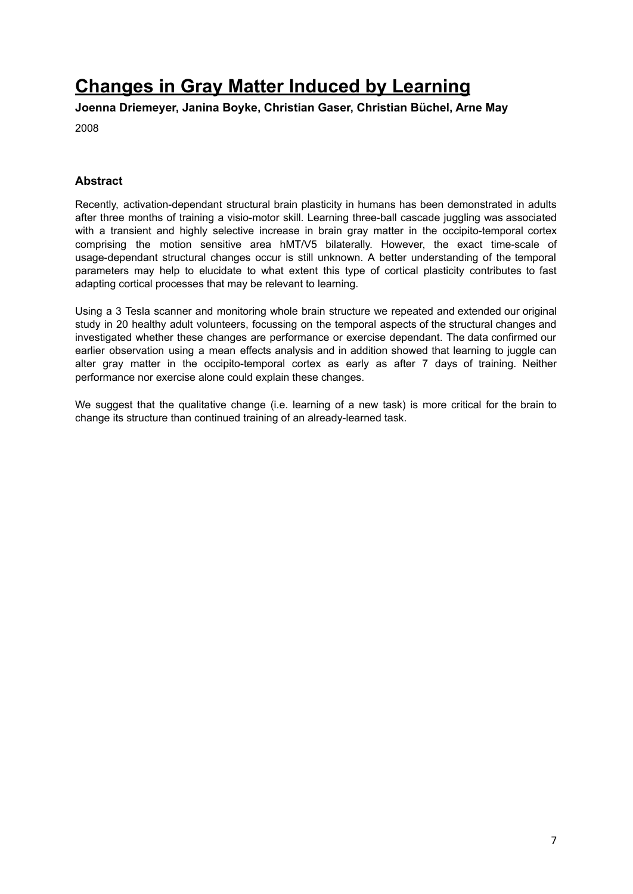# **[Changes](https://journals.plos.org/plosone/article?id=10.1371/journal.pone.0002669) in Gray Matter Induced by Learning**

**Joenna Driemeyer, Janina Boyke, Christian Gaser, Christian Büchel, Arne May**

2008

### **Abstract**

Recently, activation-dependant structural brain plasticity in humans has been demonstrated in adults after three months of training a visio-motor skill. Learning three-ball cascade juggling was associated with a transient and highly selective increase in brain gray matter in the occipito-temporal cortex comprising the motion sensitive area hMT/V5 bilaterally. However, the exact time-scale of usage-dependant structural changes occur is still unknown. A better understanding of the temporal parameters may help to elucidate to what extent this type of cortical plasticity contributes to fast adapting cortical processes that may be relevant to learning.

Using a 3 Tesla scanner and monitoring whole brain structure we repeated and extended our original study in 20 healthy adult volunteers, focussing on the temporal aspects of the structural changes and investigated whether these changes are performance or exercise dependant. The data confirmed our earlier observation using a mean effects analysis and in addition showed that learning to juggle can alter gray matter in the occipito-temporal cortex as early as after 7 days of training. Neither performance nor exercise alone could explain these changes.

We suggest that the qualitative change (i.e. learning of a new task) is more critical for the brain to change its structure than continued training of an already-learned task.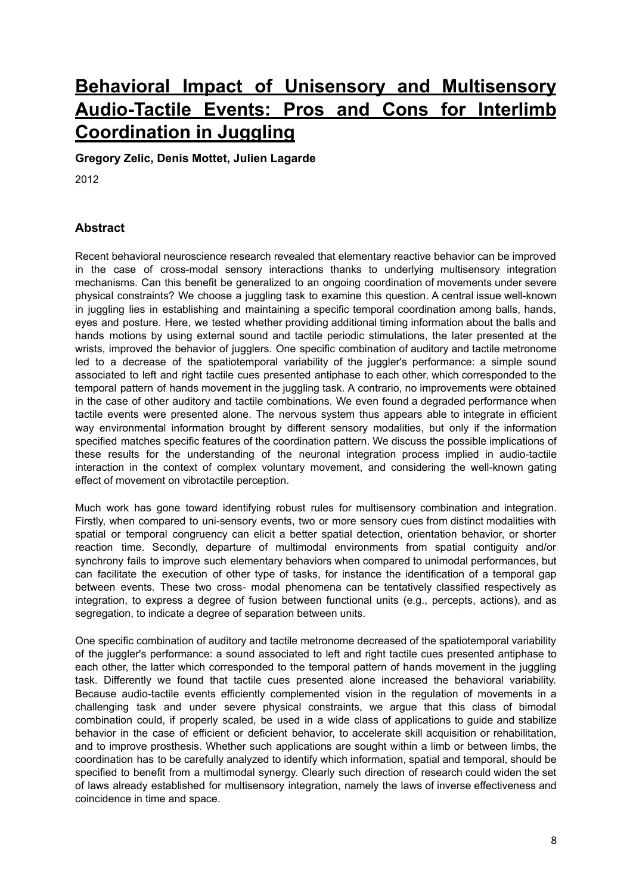# **Behavioral Impact of Unisensory and [Multisensory](http://journals.plos.org/plosone/article?id=10.1371/journal.pone.0032308) [Audio-Tactile](http://journals.plos.org/plosone/article?id=10.1371/journal.pone.0032308) Events: Pros and Cons for Interlimb [Coordination](http://journals.plos.org/plosone/article?id=10.1371/journal.pone.0032308) in Juggling**

**Gregory Zelic, Denis Mottet, Julien Lagarde**

2012

### **Abstract**

Recent behavioral neuroscience research revealed that elementary reactive behavior can be improved in the case of cross-modal sensory interactions thanks to underlying multisensory integration mechanisms. Can this benefit be generalized to an ongoing coordination of movements under severe physical constraints? We choose a juggling task to examine this question. A central issue well-known in juggling lies in establishing and maintaining a specific temporal coordination among balls, hands, eyes and posture. Here, we tested whether providing additional timing information about the balls and hands motions by using external sound and tactile periodic stimulations, the later presented at the wrists, improved the behavior of jugglers. One specific combination of auditory and tactile metronome led to a decrease of the spatiotemporal variability of the juggler's performance: a simple sound associated to left and right tactile cues presented antiphase to each other, which corresponded to the temporal pattern of hands movement in the juggling task. A contrario, no improvements were obtained in the case of other auditory and tactile combinations. We even found a degraded performance when tactile events were presented alone. The nervous system thus appears able to integrate in efficient way environmental information brought by different sensory modalities, but only if the information specified matches specific features of the coordination pattern. We discuss the possible implications of these results for the understanding of the neuronal integration process implied in audio-tactile interaction in the context of complex voluntary movement, and considering the well-known gating effect of movement on vibrotactile perception.

Much work has gone toward identifying robust rules for multisensory combination and integration. Firstly, when compared to uni-sensory events, two or more sensory cues from distinct modalities with spatial or temporal congruency can elicit a better spatial detection, orientation behavior, or shorter reaction time. Secondly, departure of multimodal environments from spatial contiguity and/or synchrony fails to improve such elementary behaviors when compared to unimodal performances, but can facilitate the execution of other type of tasks, for instance the identification of a temporal gap between events. These two cross- modal phenomena can be tentatively classified respectively as integration, to express a degree of fusion between functional units (e.g., percepts, actions), and as segregation, to indicate a degree of separation between units.

One specific combination of auditory and tactile metronome decreased of the spatiotemporal variability of the juggler's performance: a sound associated to left and right tactile cues presented antiphase to each other, the latter which corresponded to the temporal pattern of hands movement in the juggling task. Differently we found that tactile cues presented alone increased the behavioral variability. Because audio-tactile events efficiently complemented vision in the regulation of movements in a challenging task and under severe physical constraints, we argue that this class of bimodal combination could, if properly scaled, be used in a wide class of applications to guide and stabilize behavior in the case of efficient or deficient behavior, to accelerate skill acquisition or rehabilitation, and to improve prosthesis. Whether such applications are sought within a limb or between limbs, the coordination has to be carefully analyzed to identify which information, spatial and temporal, should be specified to benefit from a multimodal synergy. Clearly such direction of research could widen the set of laws already established for multisensory integration, namely the laws of inverse effectiveness and coincidence in time and space.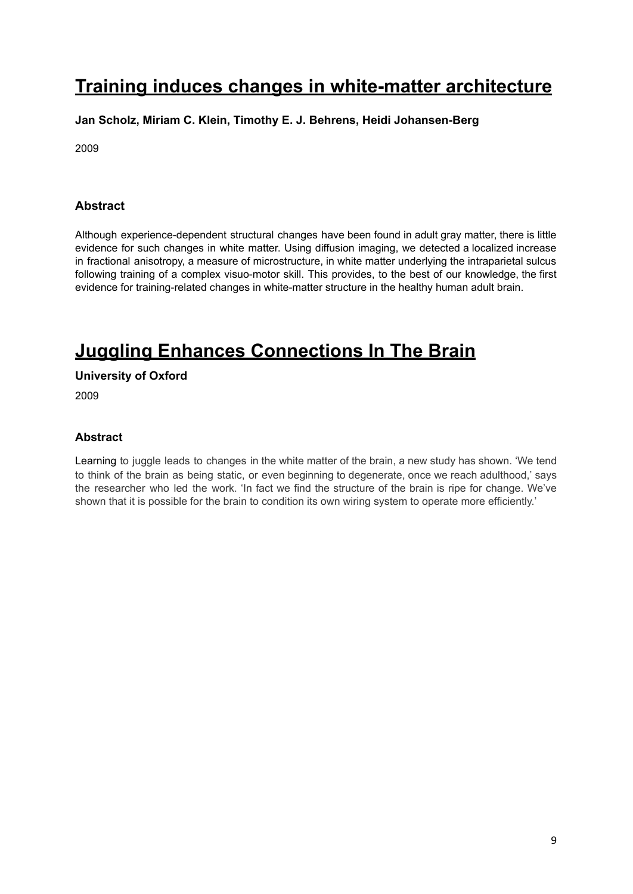## **Training induces changes in [white-matter](https://www.ncbi.nlm.nih.gov/pmc/articles/PMC2770457/) architecture**

## **Jan Scholz, Miriam C. Klein, Timothy E. J. Behrens, Heidi Johansen-Berg**

2009

## **Abstract**

Although experience-dependent structural changes have been found in adult gray matter, there is little evidence for such changes in white matter. Using diffusion imaging, we detected a localized increase in fractional anisotropy, a measure of microstructure, in white matter underlying the intraparietal sulcus following training of a complex visuo-motor skill. This provides, to the best of our knowledge, the first evidence for training-related changes in white-matter structure in the healthy human adult brain.

# **Juggling Enhances [Connections](https://www.sciencedaily.com/releases/2009/10/091016114055.htm) In The Brain**

**University of Oxford**

2009

## **Abstract**

Learning to juggle leads to changes in the white matter of the brain, a new study has shown. 'We tend to think of the brain as being static, or even beginning to degenerate, once we reach adulthood,' says the researcher who led the work. 'In fact we find the structure of the brain is ripe for change. We've shown that it is possible for the brain to condition its own wiring system to operate more efficiently.'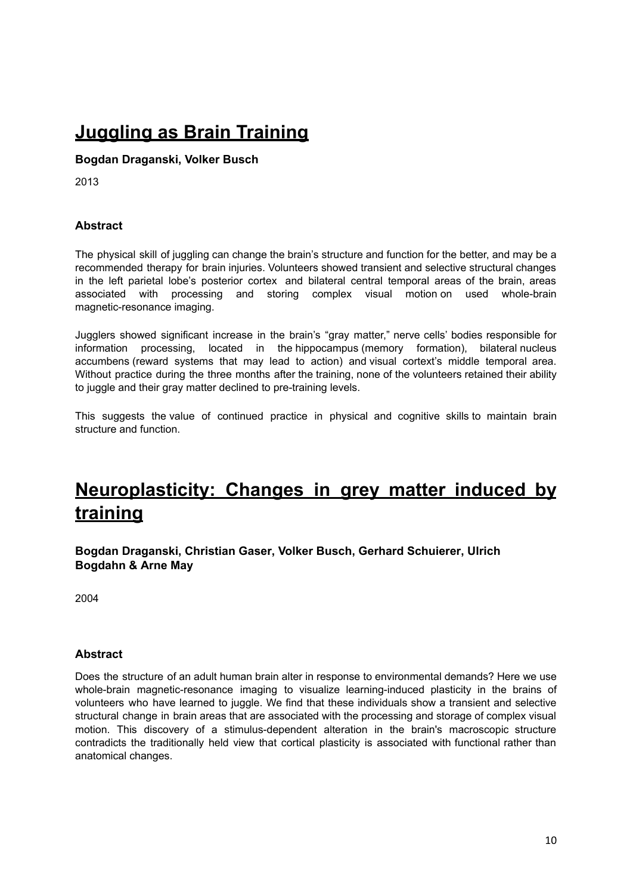# **[Juggling](https://kathrynwelds.com/2013/07/21/juggling-as-brain-training/) as Brain Training**

**Bogdan Draganski, Volker Busch**

2013

### **Abstract**

The physical skill of juggling can change the brain's structure and function for the better, and may be a recommended therapy for brain injuries. Volunteers showed transient and selective structural changes in the left parietal lobe's posterior cortex and bilateral central temporal areas of the brain, areas associated with processing and storing complex visual motion on used whole-brain magnetic-resonance imaging.

Jugglers showed significant increase in the brain's "gray matter," nerve cells' bodies [responsible](http://www.jneurosci.org/content/28/28/7031.abstract) for information processing, located in the [hippocampus](http://www.jneurosci.org/content/28/28/7031.abstract) (memory formation), bilateral nucleus [accumbens](http://www.jneurosci.org/content/28/28/7031.abstract) (reward systems that may lead to action) and visual cortext's middle temporal area. Without practice during the three months after the training, none of the volunteers retained their ability to juggle and their gray matter declined to pre-training levels.

This suggests the value of continued practice in physical and cognitive skills to maintain brain structure and function.

## **[Neuroplasticity:](https://www.researchgate.net/publication/305381230_Neuroplasticity_changes_in_grey_matter_induced_by_training) Changes in grey matter induced by [training](https://www.researchgate.net/publication/305381230_Neuroplasticity_changes_in_grey_matter_induced_by_training)**

**Bogdan [Draganski,](https://www.nature.com/articles/427311a#auth-1) [Christian](https://www.nature.com/articles/427311a#auth-2) Gaser, Volker [Busch](https://www.nature.com/articles/427311a#auth-3), Gerhard [Schuierer](https://www.nature.com/articles/427311a#auth-4), [Ulrich](https://www.nature.com/articles/427311a#auth-5) [Bogdahn](https://www.nature.com/articles/427311a#auth-5) & [Arne](https://www.nature.com/articles/427311a#auth-6) May**

2004

#### **Abstract**

Does the structure of an adult human brain alter in response to environmental demands? Here we use whole-brain magnetic-resonance imaging to visualize learning-induced plasticity in the brains of volunteers who have learned to juggle. We find that these individuals show a transient and selective structural change in brain areas that are associated with the processing and storage of complex visual motion. This discovery of a stimulus-dependent alteration in the brain's macroscopic structure contradicts the traditionally held view that cortical plasticity is associated with functional rather than anatomical changes.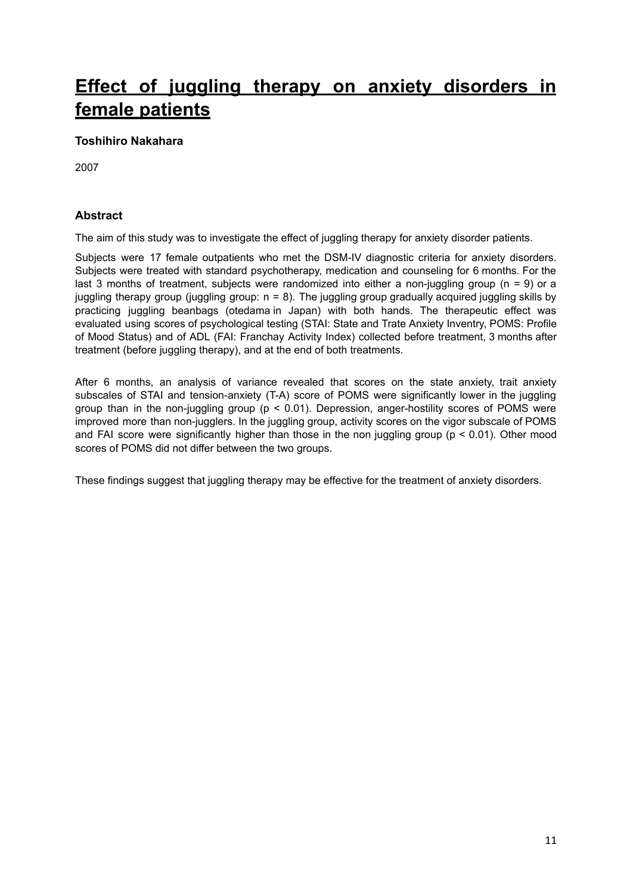# **Effect of juggling therapy on anxiety [disorders](https://bpsmedicine.biomedcentral.com/articles/10.1186/1751-0759-1-10) in female [patients](https://bpsmedicine.biomedcentral.com/articles/10.1186/1751-0759-1-10)**

### **Toshihiro Nakahara**

2007

### **Abstract**

The aim of this study was to investigate the effect of juggling therapy for anxiety disorder patients.

Subjects were 17 female outpatients who met the DSM-IV diagnostic criteria for anxiety disorders. Subjects were treated with standard psychotherapy, medication and counseling for 6 months. For the last 3 months of treatment, subjects were randomized into either a non-juggling group ( $n = 9$ ) or a juggling therapy group (juggling group:  $n = 8$ ). The juggling group gradually acquired juggling skills by practicing juggling beanbags (otedama in Japan) with both hands. The therapeutic effect was evaluated using scores of psychological testing (STAI: State and Trate Anxiety Inventry, POMS: Profile of Mood Status) and of ADL (FAI: Franchay Activity Index) collected before treatment, 3 months after treatment (before juggling therapy), and at the end of both treatments.

After 6 months, an analysis of variance revealed that scores on the state anxiety, trait anxiety subscales of STAI and tension-anxiety (T-A) score of POMS were significantly lower in the juggling group than in the non-juggling group ( $p < 0.01$ ). Depression, anger-hostility scores of POMS were improved more than non-jugglers. In the juggling group, activity scores on the vigor subscale of POMS and FAI score were significantly higher than those in the non juggling group ( $p < 0.01$ ). Other mood scores of POMS did not differ between the two groups.

These findings suggest that juggling therapy may be effective for the treatment of anxiety disorders.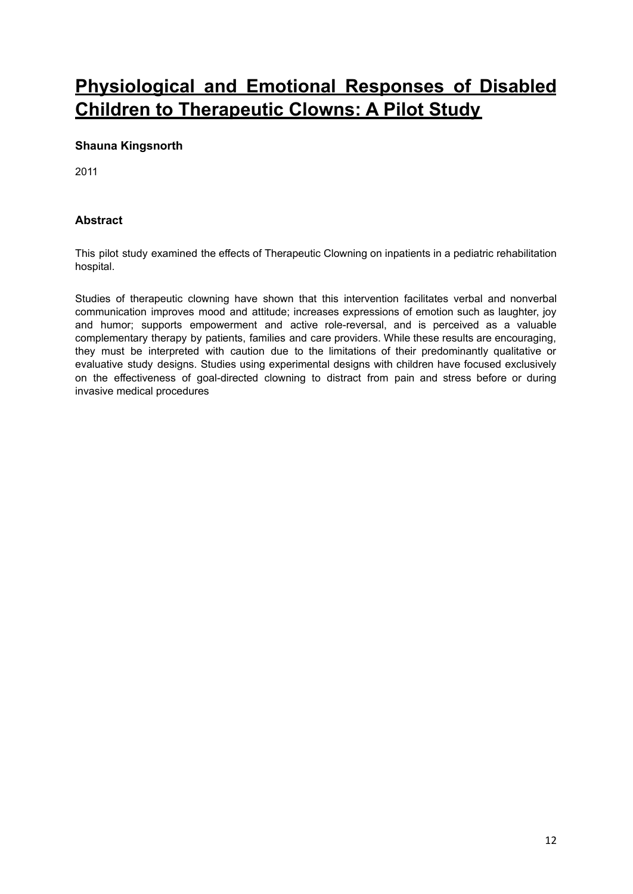# **P[hysiological](https://new.hindawi.com/journals/ecam/2011/732394/) and Emotional Responses of Disabled Children to [Therapeutic](https://new.hindawi.com/journals/ecam/2011/732394/) Clowns: A Pilot Study**

### **Shauna Kingsnorth**

2011

### **Abstract**

This pilot study examined the effects of Therapeutic Clowning on inpatients in a pediatric rehabilitation hospital.

Studies of therapeutic clowning have shown that this intervention facilitates verbal and nonverbal communication improves mood and attitude; increases expressions of emotion such as laughter, joy and humor; supports empowerment and active role-reversal, and is perceived as a valuable complementary therapy by patients, families and care providers. While these results are encouraging, they must be interpreted with caution due to the limitations of their predominantly qualitative or evaluative study designs. Studies using experimental designs with children have focused exclusively on the effectiveness of goal-directed clowning to distract from pain and stress before or during invasive medical procedures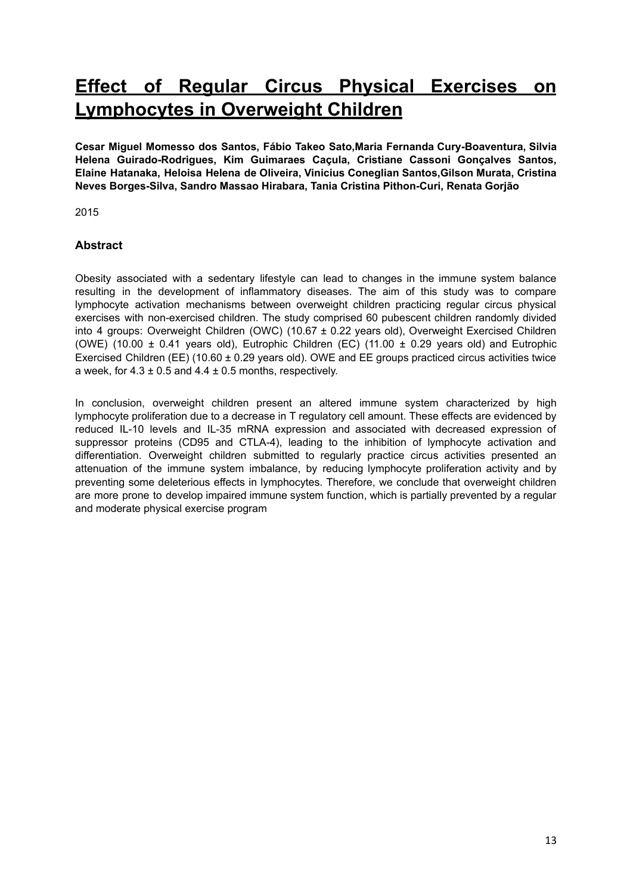## **Effect of Regular Circus Physical [Exercises](https://www.ncbi.nlm.nih.gov/pmc/articles/PMC4380297/) on [Lymphocytes](https://www.ncbi.nlm.nih.gov/pmc/articles/PMC4380297/) in Overweight Children**

**Cesar Miguel Momesso dos Santos, Fábio Takeo Sato,Maria Fernanda Cury-Boaventura, Silvia Helena Guirado-Rodrigues, Kim Guimaraes Caçula, Cristiane Cassoni Gonçalves Santos, Elaine Hatanaka, Heloisa Helena de Oliveira, Vinicius Coneglian Santos,Gilson Murata, Cristina Neves Borges-Silva, Sandro Massao Hirabara, Tania Cristina Pithon-Curi, Renata Gorjão**

2015

### **Abstract**

Obesity associated with a sedentary lifestyle can lead to changes in the immune system balance resulting in the development of inflammatory diseases. The aim of this study was to compare lymphocyte activation mechanisms between overweight children practicing regular circus physical exercises with non-exercised children. The study comprised 60 pubescent children randomly divided into 4 groups: Overweight Children (OWC) (10.67 ± 0.22 years old), Overweight Exercised Children (OWE) (10.00  $\pm$  0.41 years old), Eutrophic Children (EC) (11.00  $\pm$  0.29 years old) and Eutrophic Exercised Children (EE) (10.60 ± 0.29 years old). OWE and EE groups practiced circus activities twice a week, for  $4.3 \pm 0.5$  and  $4.4 \pm 0.5$  months, respectively.

In conclusion, overweight children present an altered immune system characterized by high lymphocyte proliferation due to a decrease in T regulatory cell amount. These effects are evidenced by reduced IL-10 levels and IL-35 mRNA expression and associated with decreased expression of suppressor proteins (CD95 and CTLA-4), leading to the inhibition of lymphocyte activation and differentiation. Overweight children submitted to regularly practice circus activities presented an attenuation of the immune system imbalance, by reducing lymphocyte proliferation activity and by preventing some deleterious effects in lymphocytes. Therefore, we conclude that overweight children are more prone to develop impaired immune system function, which is partially prevented by a regular and moderate physical exercise program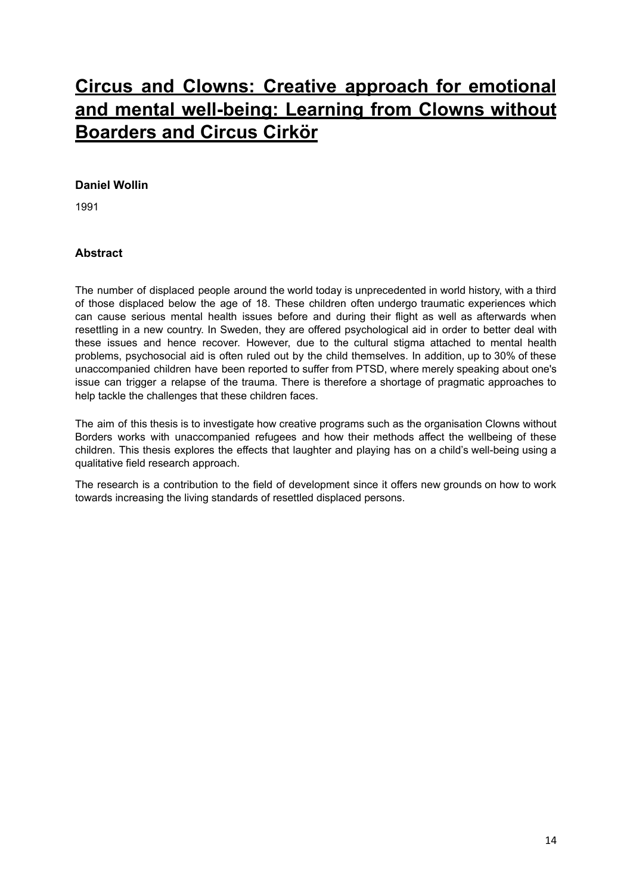# **Circus and Clowns: Creative approach for [emotional](http://www.diva-portal.se/smash/get/diva2:1145171/FULLTEXT01.pdf) and mental [well-being:](http://www.diva-portal.se/smash/get/diva2:1145171/FULLTEXT01.pdf) Learning from Clowns without [Boarders](http://www.diva-portal.se/smash/get/diva2:1145171/FULLTEXT01.pdf) and Circus Cirkör**

#### **Daniel Wollin**

1991

### **Abstract**

The number of displaced people around the world today is unprecedented in world history, with a third of those displaced below the age of 18. These children often undergo traumatic experiences which can cause serious mental health issues before and during their flight as well as afterwards when resettling in a new country. In Sweden, they are offered psychological aid in order to better deal with these issues and hence recover. However, due to the cultural stigma attached to mental health problems, psychosocial aid is often ruled out by the child themselves. In addition, up to 30% of these unaccompanied children have been reported to suffer from PTSD, where merely speaking about one's issue can trigger a relapse of the trauma. There is therefore a shortage of pragmatic approaches to help tackle the challenges that these children faces.

The aim of this thesis is to investigate how creative programs such as the organisation Clowns without Borders works with unaccompanied refugees and how their methods affect the wellbeing of these children. This thesis explores the effects that laughter and playing has on a child's well-being using a qualitative field research approach.

The research is a contribution to the field of development since it offers new grounds on how to work towards increasing the living standards of resettled displaced persons.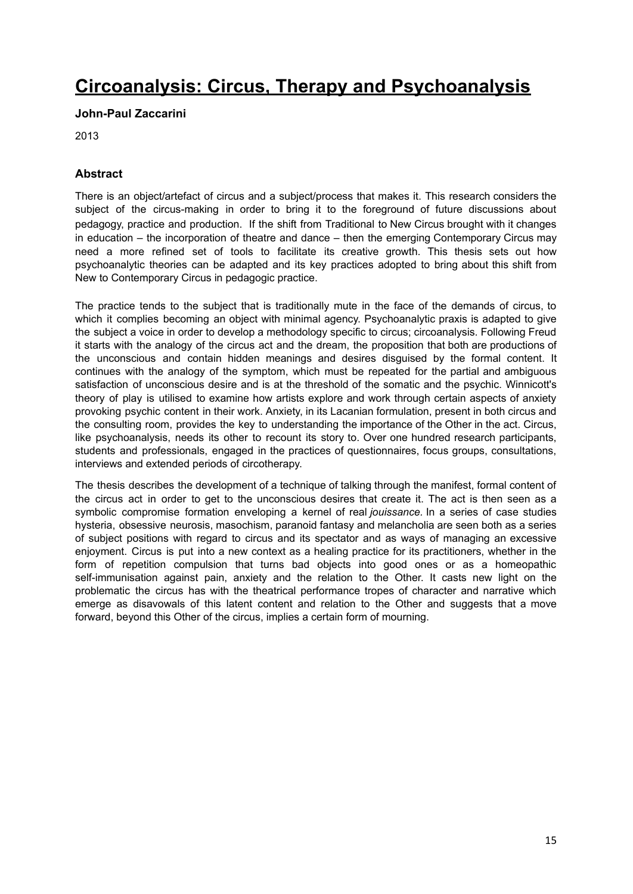## **Circoanalysis: Circus, Therapy and [Psychoanalysis](https://www.academia.edu/8141142/Circoanalysis_Circus_therapy_and_Psychoanalysis_PHD_Thesis)**

#### **John-Paul Zaccarini**

2013

### **Abstract**

There is an object/artefact of circus and a subject/process that makes it. This research considers the subject of the circus-making in order to bring it to the foreground of future discussions about pedagogy, practice and production. If the shift from Traditional to New Circus brought with it changes in education – the incorporation of theatre and dance – then the emerging Contemporary Circus may need a more refined set of tools to facilitate its creative growth. This thesis sets out how psychoanalytic theories can be adapted and its key practices adopted to bring about this shift from New to Contemporary Circus in pedagogic practice.

The practice tends to the subject that is traditionally mute in the face of the demands of circus, to which it complies becoming an object with minimal agency. Psychoanalytic praxis is adapted to give the subject a voice in order to develop a methodology specific to circus; circoanalysis. Following Freud it starts with the analogy of the circus act and the dream, the proposition that both are productions of the unconscious and contain hidden meanings and desires disguised by the formal content. It continues with the analogy of the symptom, which must be repeated for the partial and ambiguous satisfaction of unconscious desire and is at the threshold of the somatic and the psychic. Winnicott's theory of play is utilised to examine how artists explore and work through certain aspects of anxiety provoking psychic content in their work. Anxiety, in its Lacanian formulation, present in both circus and the consulting room, provides the key to understanding the importance of the Other in the act. Circus, like psychoanalysis, needs its other to recount its story to. Over one hundred research participants, students and professionals, engaged in the practices of questionnaires, focus groups, consultations, interviews and extended periods of circotherapy.

The thesis describes the development of a technique of talking through the manifest, formal content of the circus act in order to get to the unconscious desires that create it. The act is then seen as a symbolic compromise formation enveloping a kernel of real *jouissance.* In a series of case studies hysteria, obsessive neurosis, masochism, paranoid fantasy and melancholia are seen both as a series of subject positions with regard to circus and its spectator and as ways of managing an excessive enjoyment. Circus is put into a new context as a healing practice for its practitioners, whether in the form of repetition compulsion that turns bad objects into good ones or as a homeopathic self-immunisation against pain, anxiety and the relation to the Other. It casts new light on the problematic the circus has with the theatrical performance tropes of character and narrative which emerge as disavowals of this latent content and relation to the Other and suggests that a move forward, beyond this Other of the circus, implies a certain form of mourning.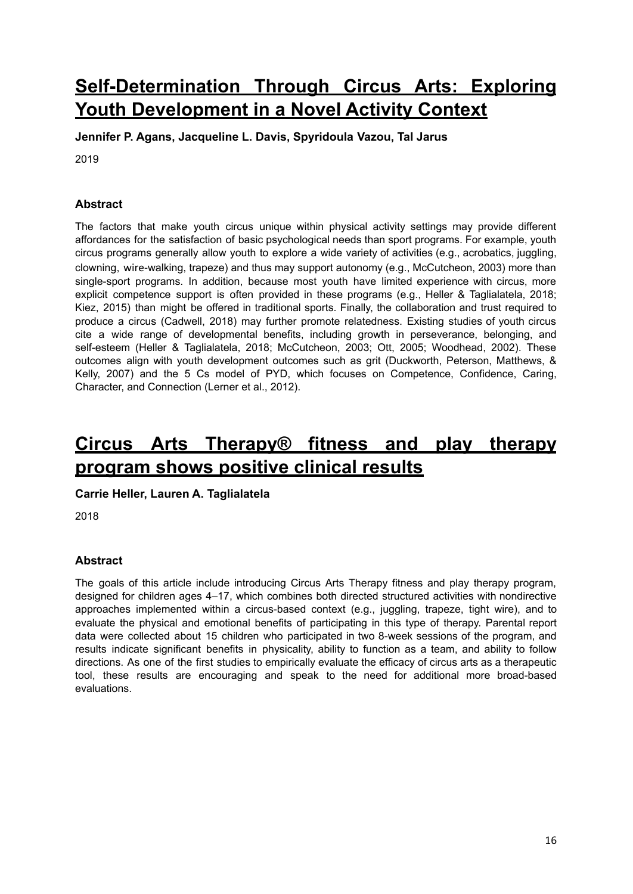# **[Self-Determination](https://lib.dr.iastate.edu/cgi/viewcontent.cgi?article=1052&context=kin_pubs&fbclid=IwAR0UkQJ4XF2Baysqjfgtfd190dsQlipSDZ9bMFQ5d99PbXDO2Lye7PquPgs) Through Circus Arts: Exploring Youth [Development](https://lib.dr.iastate.edu/cgi/viewcontent.cgi?article=1052&context=kin_pubs&fbclid=IwAR0UkQJ4XF2Baysqjfgtfd190dsQlipSDZ9bMFQ5d99PbXDO2Lye7PquPgs) in a Novel Activity Context**

**Jennifer P. Agans, Jacqueline L. Davis, Spyridoula Vazou, Tal Jarus**

2019

### **Abstract**

The factors that make youth circus unique within physical activity settings may provide different affordances for the satisfaction of basic psychological needs than sport programs. For example, youth circus programs generally allow youth to explore a wide variety of activities (e.g., acrobatics, juggling, clowning, wire-walking, trapeze) and thus may support autonomy (e.g., McCutcheon, 2003) more than single-sport programs. In addition, because most youth have limited experience with circus, more explicit competence support is often provided in these programs (e.g., Heller & Taglialatela, 2018; Kiez, 2015) than might be offered in traditional sports. Finally, the collaboration and trust required to produce a circus (Cadwell, 2018) may further promote relatedness. Existing studies of youth circus cite a wide range of developmental benefits, including growth in perseverance, belonging, and self-esteem (Heller & Taglialatela, 2018; McCutcheon, 2003; Ott, 2005; Woodhead, 2002). These outcomes align with youth development outcomes such as grit (Duckworth, Peterson, Matthews, & Kelly, 2007) and the 5 Cs model of PYD, which focuses on Competence, Confidence, Caring, Character, and Connection (Lerner et al., 2012).

## **Circus Arts [Therapy®](https://digitalcommons.lesley.edu/cgi/viewcontent.cgi?article=1024&context=expressive_theses) fitness and play therapy [program](https://digitalcommons.lesley.edu/cgi/viewcontent.cgi?article=1024&context=expressive_theses) shows positive clinical results**

### **Carrie Heller, Lauren A. Taglialatela**

2018

### **Abstract**

The goals of this article include introducing Circus Arts Therapy fitness and play therapy program, designed for children ages 4–17, which combines both directed structured activities with nondirective approaches implemented within a circus-based context (e.g., juggling, trapeze, tight wire), and to evaluate the physical and emotional benefits of participating in this type of therapy. Parental report data were collected about 15 children who participated in two 8-week sessions of the program, and results indicate significant benefits in physicality, ability to function as a team, and ability to follow directions. As one of the first studies to empirically evaluate the efficacy of circus arts as a therapeutic tool, these results are encouraging and speak to the need for additional more broad-based evaluations.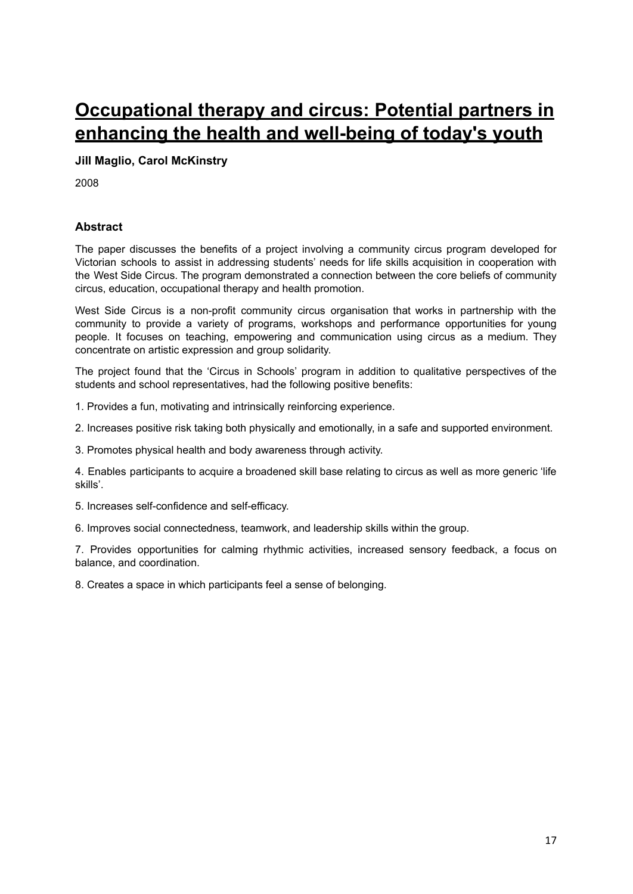# **[Occupational](https://www.academia.edu/9121592/Occupational_therapy_and_circus_Potential_partners_in_enhancing_the_health_and_well-being_of_todays_youth) therapy and circus: Potential partners in [enhancing](https://www.academia.edu/9121592/Occupational_therapy_and_circus_Potential_partners_in_enhancing_the_health_and_well-being_of_todays_youth) the health and well-being of today's youth**

#### **Jill Maglio, Carol McKinstry**

2008

### **Abstract**

The paper discusses the benefits of a project involving a community circus program developed for Victorian schools to assist in addressing students' needs for life skills acquisition in cooperation with the West Side Circus. The program demonstrated a connection between the core beliefs of community circus, education, occupational therapy and health promotion.

West Side Circus is a non-profit community circus organisation that works in partnership with the community to provide a variety of programs, workshops and performance opportunities for young people. It focuses on teaching, empowering and communication using circus as a medium. They concentrate on artistic expression and group solidarity.

The project found that the 'Circus in Schools' program in addition to qualitative perspectives of the students and school representatives, had the following positive benefits:

1. Provides a fun, motivating and intrinsically reinforcing experience.

2. Increases positive risk taking both physically and emotionally, in a safe and supported environment.

3. Promotes physical health and body awareness through activity.

4. Enables participants to acquire a broadened skill base relating to circus as well as more generic 'life skills'.

5. Increases self-confidence and self-efficacy.

6. Improves social connectedness, teamwork, and leadership skills within the group.

7. Provides opportunities for calming rhythmic activities, increased sensory feedback, a focus on balance, and coordination.

8. Creates a space in which participants feel a sense of belonging.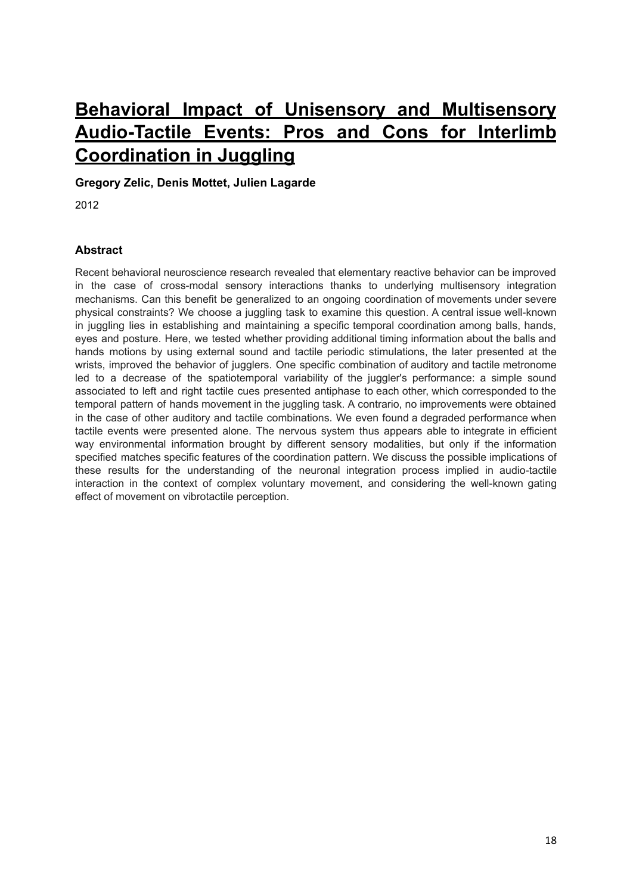# **Behavioral Impact of Unisensory and [Multisensory](https://journals.plos.org/plosone/article?id=10.1371/journal.pone.0032308) [Audio-Tactile](https://journals.plos.org/plosone/article?id=10.1371/journal.pone.0032308) Events: Pros and Cons for Interlimb [Coordination](https://journals.plos.org/plosone/article?id=10.1371/journal.pone.0032308) in Juggling**

**Gregory Zelic, Denis Mottet, Julien Lagarde**

2012

### **Abstract**

Recent behavioral neuroscience research revealed that elementary reactive behavior can be improved in the case of cross-modal sensory interactions thanks to underlying multisensory integration mechanisms. Can this benefit be generalized to an ongoing coordination of movements under severe physical constraints? We choose a juggling task to examine this question. A central issue well-known in juggling lies in establishing and maintaining a specific temporal coordination among balls, hands, eyes and posture. Here, we tested whether providing additional timing information about the balls and hands motions by using external sound and tactile periodic stimulations, the later presented at the wrists, improved the behavior of jugglers. One specific combination of auditory and tactile metronome led to a decrease of the spatiotemporal variability of the juggler's performance: a simple sound associated to left and right tactile cues presented antiphase to each other, which corresponded to the temporal pattern of hands movement in the juggling task. A contrario, no improvements were obtained in the case of other auditory and tactile combinations. We even found a degraded performance when tactile events were presented alone. The nervous system thus appears able to integrate in efficient way environmental information brought by different sensory modalities, but only if the information specified matches specific features of the coordination pattern. We discuss the possible implications of these results for the understanding of the neuronal integration process implied in audio-tactile interaction in the context of complex voluntary movement, and considering the well-known gating effect of movement on vibrotactile perception.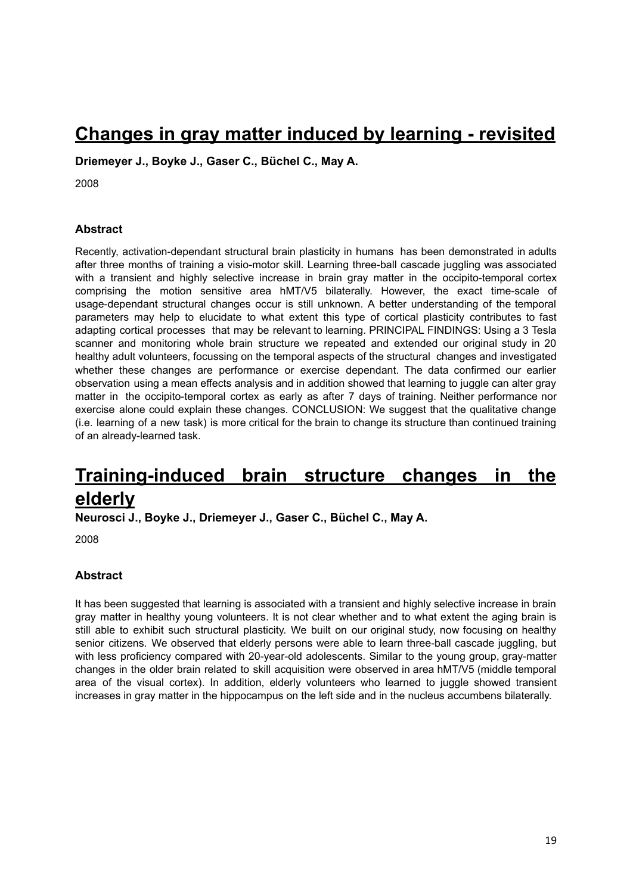## **[Changes](https://www.ncbi.nlm.nih.gov/pmc/articles/PMC2447176/) in gray matter induced by learning - revisited**

**Driemeyer J., Boyke J., Gaser C., Büchel C., May A.**

2008

#### **Abstract**

Recently, activation-dependant structural brain plasticity in humans has been demonstrated in adults after three months of training a visio-motor skill. Learning three-ball cascade juggling was associated with a transient and highly selective increase in brain gray matter in the occipito-temporal cortex comprising the motion sensitive area hMT/V5 bilaterally. However, the exact time-scale of usage-dependant structural changes occur is still unknown. A better understanding of the temporal parameters may help to elucidate to what extent this type of cortical plasticity contributes to fast adapting cortical processes that may be relevant to learning. PRINCIPAL FINDINGS: Using a 3 Tesla scanner and monitoring whole brain structure we repeated and extended our original study in 20 healthy adult volunteers, focussing on the temporal aspects of the structural changes and investigated whether these changes are performance or exercise dependant. The data confirmed our earlier observation using a mean effects analysis and in addition showed that learning to juggle can alter gray matter in the occipito-temporal cortex as early as after 7 days of training. Neither performance nor exercise alone could explain these changes. CONCLUSION: We suggest that the qualitative change (i.e. learning of a new task) is more critical for the brain to change its structure than continued training of an already-learned task.

## **[Training-induced](https://www.jneurosci.org/content/28/28/7031.long) brain structure changes in the [elderly](https://www.jneurosci.org/content/28/28/7031.long)**

**Neurosci J., Boyke J., Driemeyer J., Gaser C., Büchel C., May A.**

2008

#### **Abstract**

It has been suggested that learning is associated with a transient and highly selective increase in brain gray matter in healthy young volunteers. It is not clear whether and to what extent the aging brain is still able to exhibit such structural plasticity. We built on our original study, now focusing on healthy senior citizens. We observed that elderly persons were able to learn three-ball cascade juggling, but with less proficiency compared with 20-year-old adolescents. Similar to the young group, gray-matter changes in the older brain related to skill acquisition were observed in area hMT/V5 (middle temporal area of the visual cortex). In addition, elderly volunteers who learned to juggle showed transient increases in gray matter in the hippocampus on the left side and in the nucleus accumbens bilaterally.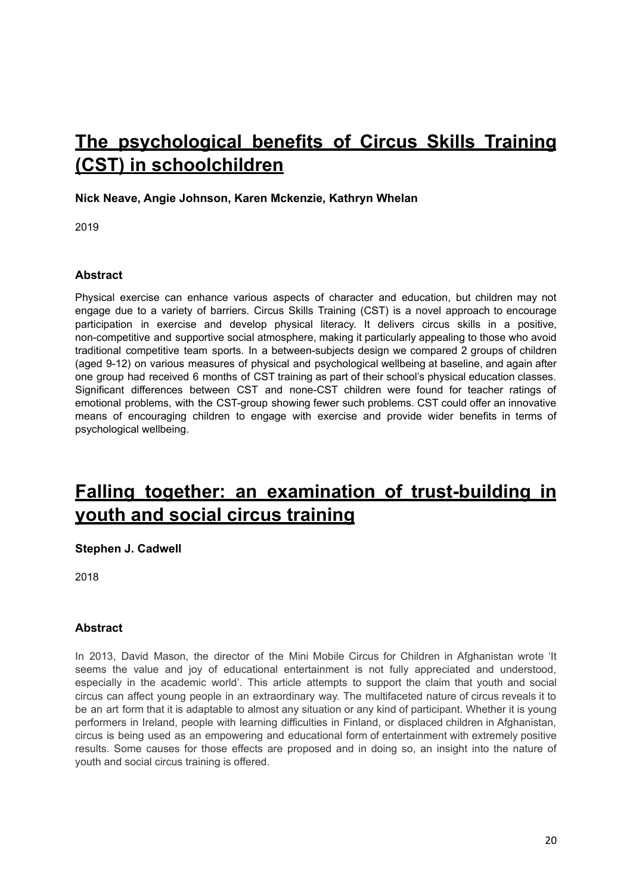# **The [psychological](http://nrl.northumbria.ac.uk/40578/?fbclid=IwAR0rtAFG15rmFC7CcA8vd_CjkcdKgrwF7_zH5FMqTJnuyQxdcwJu7P5sClg) benefits of Circus Skills Training (CST) in [schoolchildren](http://nrl.northumbria.ac.uk/40578/?fbclid=IwAR0rtAFG15rmFC7CcA8vd_CjkcdKgrwF7_zH5FMqTJnuyQxdcwJu7P5sClg)**

### **Nick Neave, Angie Johnson, Karen Mckenzie, Kathryn Whelan**

2019

### **Abstract**

Physical exercise can enhance various aspects of character and education, but children may not engage due to a variety of barriers. Circus Skills Training (CST) is a novel approach to encourage participation in exercise and develop physical literacy. It delivers circus skills in a positive, non-competitive and supportive social atmosphere, making it particularly appealing to those who avoid traditional competitive team sports. In a between-subjects design we compared 2 groups of children (aged 9-12) on various measures of physical and psychological wellbeing at baseline, and again after one group had received 6 months of CST training as part of their school's physical education classes. Significant differences between CST and none-CST children were found for teacher ratings of emotional problems, with the CST-group showing fewer such problems. CST could offer an innovative means of encouraging children to engage with exercise and provide wider benefits in terms of psychological wellbeing.

## **Falling together: an examination of [trust-building](https://www.tandfonline.com/doi/abs/10.1080/19443927.2017.1384755?journalCode=rtdp20) in youth and social circus [training](https://www.tandfonline.com/doi/abs/10.1080/19443927.2017.1384755?journalCode=rtdp20)**

### **[Stephen](https://www.tandfonline.com/author/Cadwell%2C+Stephen+J) J. Cadwell**

2018

### **Abstract**

In 2013, David Mason, the director of the Mini Mobile Circus for Children in Afghanistan wrote 'It seems the value and joy of educational entertainment is not fully appreciated and understood, especially in the academic world'. This article attempts to support the claim that youth and social circus can affect young people in an extraordinary way. The multifaceted nature of circus reveals it to be an art form that it is adaptable to almost any situation or any kind of participant. Whether it is young performers in Ireland, people with learning difficulties in Finland, or displaced children in Afghanistan, circus is being used as an empowering and educational form of entertainment with extremely positive results. Some causes for those effects are proposed and in doing so, an insight into the nature of youth and social circus training is offered.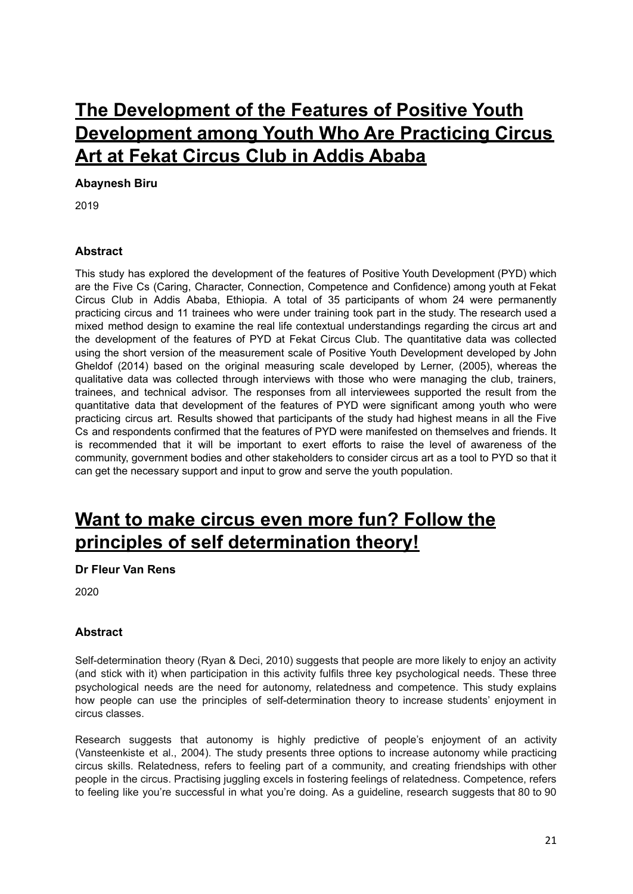# **The [Development](http://213.55.95.56/bitstream/handle/123456789/19028/Abaynesh%20Biru.pdf?sequence=1&isAllowed=y) of the Features of Positive Youth [Development](http://213.55.95.56/bitstream/handle/123456789/19028/Abaynesh%20Biru.pdf?sequence=1&isAllowed=y) among Youth Who Are Practicing Circus Art at Fekat [Circus](http://213.55.95.56/bitstream/handle/123456789/19028/Abaynesh%20Biru.pdf?sequence=1&isAllowed=y) Club in Addis Ababa**

### **Abaynesh Biru**

2019

### **Abstract**

This study has explored the development of the features of Positive Youth Development (PYD) which are the Five Cs (Caring, Character, Connection, Competence and Confidence) among youth at Fekat Circus Club in Addis Ababa, Ethiopia. A total of 35 participants of whom 24 were permanently practicing circus and 11 trainees who were under training took part in the study. The research used a mixed method design to examine the real life contextual understandings regarding the circus art and the development of the features of PYD at Fekat Circus Club. The quantitative data was collected using the short version of the measurement scale of Positive Youth Development developed by John Gheldof (2014) based on the original measuring scale developed by Lerner, (2005), whereas the qualitative data was collected through interviews with those who were managing the club, trainers, trainees, and technical advisor. The responses from all interviewees supported the result from the quantitative data that development of the features of PYD were significant among youth who were practicing circus art. Results showed that participants of the study had highest means in all the Five Cs and respondents confirmed that the features of PYD were manifested on themselves and friends. It is recommended that it will be important to exert efforts to raise the level of awareness of the community, government bodies and other stakeholders to consider circus art as a tool to PYD so that it can get the necessary support and input to grow and serve the youth population.

## **Want to make circus even more fun? [Follow](https://circuspsychology.com/2020/01/10/want-to-make-circus-even-more-fun-follow-the-principles-of-self-determination-theory/?fbclid=IwAR0_1hkUKrrMF8FzW4Teqp23RTi2LhNdFsUZquhyneimJ4AV69x6DWQHlfs) the principles of self [determination](https://circuspsychology.com/2020/01/10/want-to-make-circus-even-more-fun-follow-the-principles-of-self-determination-theory/?fbclid=IwAR0_1hkUKrrMF8FzW4Teqp23RTi2LhNdFsUZquhyneimJ4AV69x6DWQHlfs) theory!**

#### **Dr Fleur Van Rens**

2020

### **Abstract**

Self-determination theory (Ryan & Deci, 2010) suggests that people are more likely to enjoy an activity (and stick with it) when participation in this activity fulfils three key psychological needs. These three psychological needs are the need for autonomy, relatedness and competence. This study explains how people can use the principles of self-determination theory to increase students' enjoyment in circus classes.

Research suggests that autonomy is highly predictive of people's enjoyment of an activity (Vansteenkiste et al., 2004). The study presents three options to increase autonomy while practicing circus skills. Relatedness, refers to feeling part of a community, and creating friendships with other people in the circus. Practising juggling excels in fostering feelings of relatedness. Competence, refers to feeling like you're successful in what you're doing. As a guideline, research suggests that 80 to 90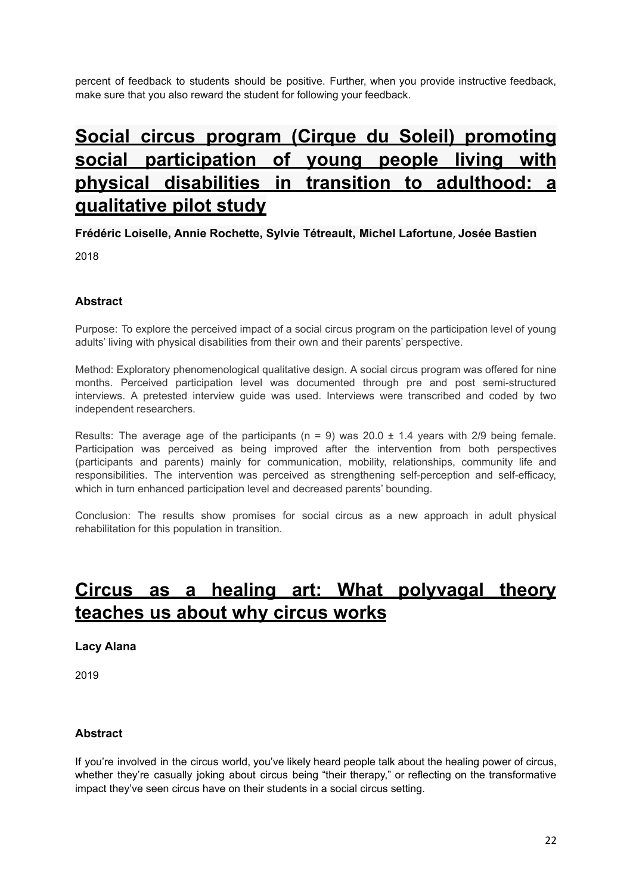percent of feedback to students should be positive. Further, when you provide instructive feedback, make sure that you also reward the student for following your feedback.

# **Social circus program (Cirque du Soleil) [promoting](https://www.tandfonline.com/doi/abs/10.1080/17518423.2018.1474502?src=recsys&journalCode=ipdr20) social [participation](https://www.tandfonline.com/doi/abs/10.1080/17518423.2018.1474502?src=recsys&journalCode=ipdr20) of young people living with physical [disabilities](https://www.tandfonline.com/doi/abs/10.1080/17518423.2018.1474502?src=recsys&journalCode=ipdr20) in transition to adulthood: a [qualitative](https://www.tandfonline.com/doi/abs/10.1080/17518423.2018.1474502?src=recsys&journalCode=ipdr20) pilot study**

**Frédéric Loiselle, Annie Rochette, Sylvie Tétreault, Michel Lafortune**, **Josée Bastien**

2018

## **Abstract**

Purpose: To explore the perceived impact of a social circus program on the participation level of young adults' living with physical disabilities from their own and their parents' perspective.

Method: Exploratory phenomenological qualitative design. A social circus program was offered for nine months. Perceived participation level was documented through pre and post semi-structured interviews. A pretested interview guide was used. Interviews were transcribed and coded by two independent researchers.

Results: The average age of the participants ( $n = 9$ ) was 20.0  $\pm$  1.4 years with 2/9 being female. Participation was perceived as being improved after the intervention from both perspectives (participants and parents) mainly for communication, mobility, relationships, community life and responsibilities. The intervention was perceived as strengthening self-perception and self-efficacy, which in turn enhanced participation level and decreased parents' bounding.

Conclusion: The results show promises for social circus as a new approach in adult physical rehabilitation for this population in transition.

## **Circus as a healing art: What [polyvagal](https://yesandbrain.com/blog/polyvagalcircus?fbclid=IwAR39OCQqsnXkusQr5uPruxriKt-0L90isK7B-rvTVasIEHBCq0_T8gKUib4) theory [teaches](https://yesandbrain.com/blog/polyvagalcircus?fbclid=IwAR39OCQqsnXkusQr5uPruxriKt-0L90isK7B-rvTVasIEHBCq0_T8gKUib4) us about why circus works**

#### **Lacy Alana**

2019

### **Abstract**

If you're involved in the circus world, you've likely heard people talk about the healing power of circus, whether they're casually joking about circus being "their therapy," or reflecting on the transformative impact they've seen circus have on their students in a social circus setting.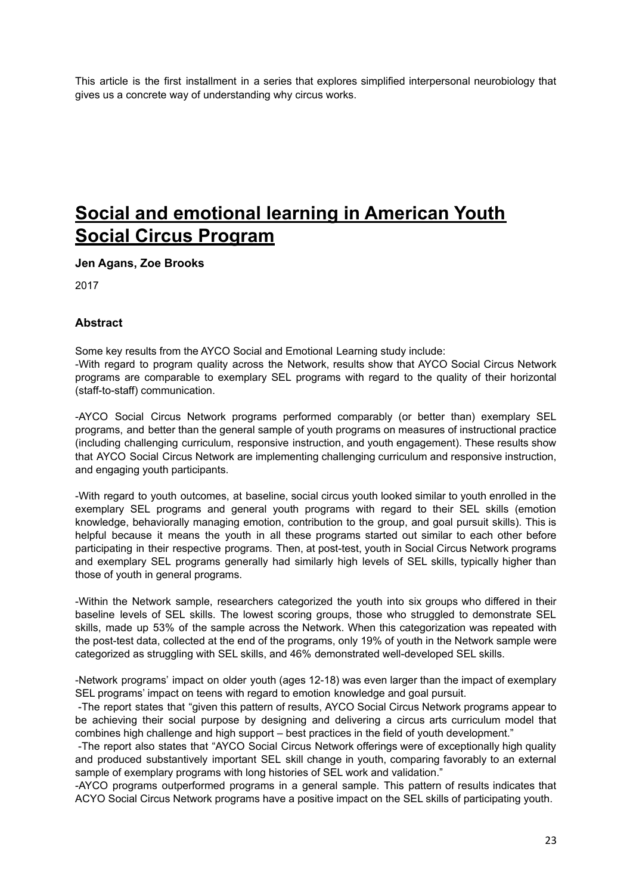This article is the first installment in a series that explores simplified interpersonal neurobiology that gives us a concrete way of understanding why circus works.

## **Social and [emotional](https://www.americansforthearts.org/by-program/reports-and-data/legislation-policy/naappd/social-and-emotional-learning-in-american-youth-social-circus-programs) learning in American Youth Social Circus [Program](https://www.americansforthearts.org/by-program/reports-and-data/legislation-policy/naappd/social-and-emotional-learning-in-american-youth-social-circus-programs)**

**Jen Agans, Zoe Brooks**

2017

#### **Abstract**

Some key results from the AYCO Social and Emotional Learning study include: -With regard to program quality across the Network, results show that AYCO Social Circus Network programs are comparable to exemplary SEL programs with regard to the quality of their horizontal (staff-to-staff) communication.

-AYCO Social Circus Network programs performed comparably (or better than) exemplary SEL programs, and better than the general sample of youth programs on measures of instructional practice (including challenging curriculum, responsive instruction, and youth engagement). These results show that AYCO Social Circus Network are implementing challenging curriculum and responsive instruction, and engaging youth participants.

-With regard to youth outcomes, at baseline, social circus youth looked similar to youth enrolled in the exemplary SEL programs and general youth programs with regard to their SEL skills (emotion knowledge, behaviorally managing emotion, contribution to the group, and goal pursuit skills). This is helpful because it means the youth in all these programs started out similar to each other before participating in their respective programs. Then, at post-test, youth in Social Circus Network programs and exemplary SEL programs generally had similarly high levels of SEL skills, typically higher than those of youth in general programs.

-Within the Network sample, researchers categorized the youth into six groups who differed in their baseline levels of SEL skills. The lowest scoring groups, those who struggled to demonstrate SEL skills, made up 53% of the sample across the Network. When this categorization was repeated with the post-test data, collected at the end of the programs, only 19% of youth in the Network sample were categorized as struggling with SEL skills, and 46% demonstrated well-developed SEL skills.

-Network programs' impact on older youth (ages 12-18) was even larger than the impact of exemplary SEL programs' impact on teens with regard to emotion knowledge and goal pursuit.

-The report states that "given this pattern of results, AYCO Social Circus Network programs appear to be achieving their social purpose by designing and delivering a circus arts curriculum model that combines high challenge and high support – best practices in the field of youth development."

-The report also states that "AYCO Social Circus Network offerings were of exceptionally high quality and produced substantively important SEL skill change in youth, comparing favorably to an external sample of exemplary programs with long histories of SEL work and validation."

-AYCO programs outperformed programs in a general sample. This pattern of results indicates that ACYO Social Circus Network programs have a positive impact on the SEL skills of participating youth.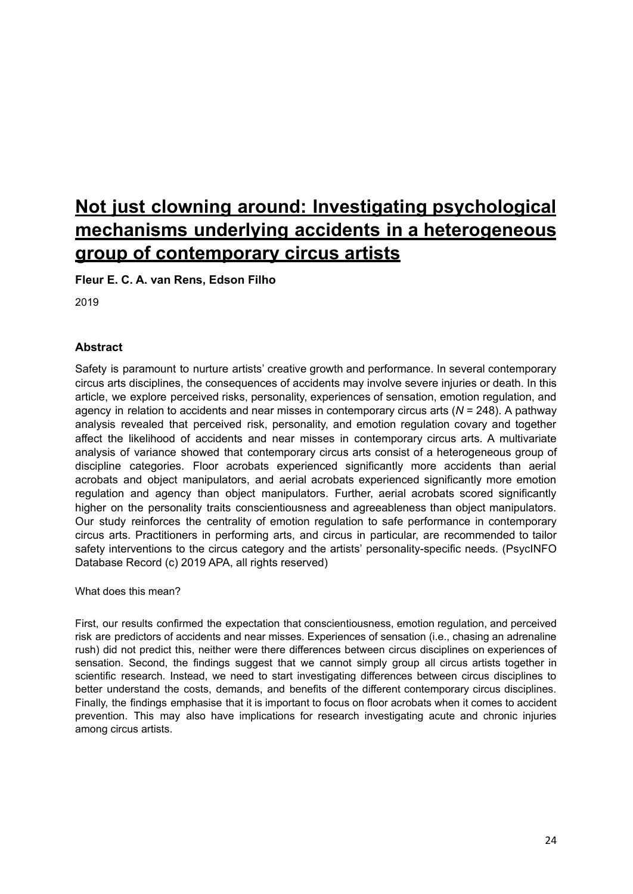# **Not just clowning around: Investigating [psychological](https://circuspsychology.files.wordpress.com/2019/12/20190916_not_clowning_around_circus_arts_final_accepted_version.pdf) mechanisms underlying accidents in a [heterogeneous](https://circuspsychology.files.wordpress.com/2019/12/20190916_not_clowning_around_circus_arts_final_accepted_version.pdf) group of [contemporary](https://circuspsychology.files.wordpress.com/2019/12/20190916_not_clowning_around_circus_arts_final_accepted_version.pdf) circus artists**

**Fleur E. C. A. van Rens, Edson Filho**

2019

## **Abstract**

Safety is paramount to nurture artists' creative growth and performance. In several contemporary circus arts disciplines, the consequences of accidents may involve severe injuries or death. In this article, we explore perceived risks, personality, experiences of sensation, emotion regulation, and agency in relation to accidents and near misses in contemporary circus arts (*N* = 248). A pathway analysis revealed that perceived risk, personality, and emotion regulation covary and together affect the likelihood of accidents and near misses in contemporary circus arts. A multivariate analysis of variance showed that contemporary circus arts consist of a heterogeneous group of discipline categories. Floor acrobats experienced significantly more accidents than aerial acrobats and object manipulators, and aerial acrobats experienced significantly more emotion regulation and agency than object manipulators. Further, aerial acrobats scored significantly higher on the personality traits conscientiousness and agreeableness than object manipulators. Our study reinforces the centrality of emotion regulation to safe performance in contemporary circus arts. Practitioners in performing arts, and circus in particular, are recommended to tailor safety interventions to the circus category and the artists' personality-specific needs. (PsycINFO Database Record (c) 2019 APA, all rights reserved)

What does this mean?

First, our results confirmed the expectation that conscientiousness, emotion regulation, and perceived risk are predictors of accidents and near misses. Experiences of sensation (i.e., chasing an adrenaline rush) did not predict this, neither were there differences between circus disciplines on experiences of sensation. Second, the findings suggest that we cannot simply group all circus artists together in scientific research. Instead, we need to start investigating differences between circus disciplines to better understand the costs, demands, and benefits of the different contemporary circus disciplines. Finally, the findings emphasise that it is important to focus on floor acrobats when it comes to accident prevention. This may also have implications for research investigating acute and chronic injuries among circus artists.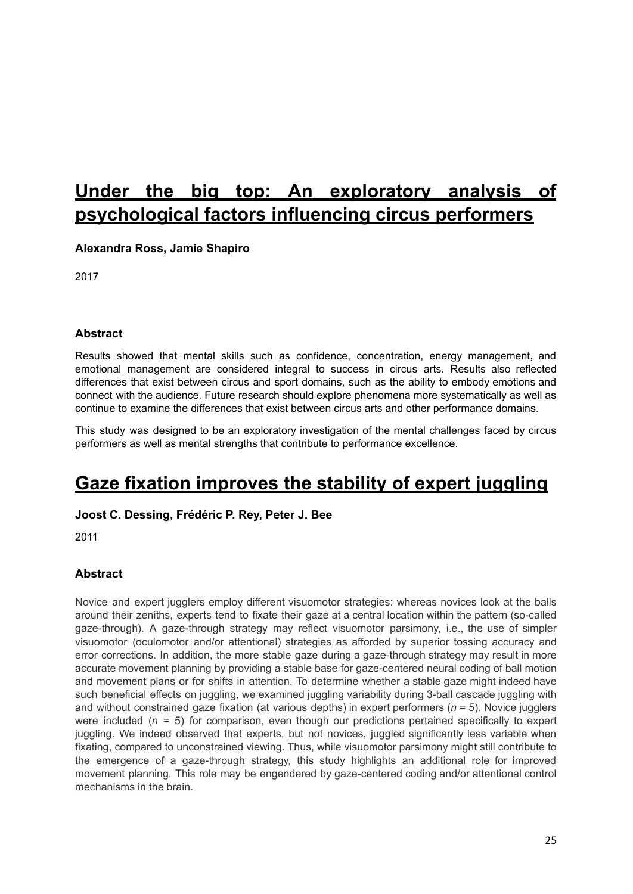# **Under the big top: An [exploratory](https://isiarticles.com/bundles/Article/pre/pdf/122572.pdf) analysis of [psychological](https://isiarticles.com/bundles/Article/pre/pdf/122572.pdf) factors influencing circus performers**

**Alexandra Ross, Jamie Shapiro**

2017

### **Abstract**

Results showed that mental skills such as confidence, concentration, energy management, and emotional management are considered integral to success in circus arts. Results also reflected differences that exist between circus and sport domains, such as the ability to embody emotions and connect with the audience. Future research should explore phenomena more systematically as well as continue to examine the differences that exist between circus arts and other performance domains.

This study was designed to be an exploratory investigation of the mental challenges faced by circus performers as well as mental strengths that contribute to performance excellence.

## **Gaze fixation [improves](https://link.springer.com/article/10.1007%2Fs00221-011-2967-6) the stability of expert juggling**

### **Joost C. Dessing, Frédéric P. Rey, Peter J. Bee**

2011

## **Abstract**

Novice and expert jugglers employ different visuomotor strategies: whereas novices look at the balls around their zeniths, experts tend to fixate their gaze at a central location within the pattern (so-called gaze-through). A gaze-through strategy may reflect visuomotor parsimony, i.e., the use of simpler visuomotor (oculomotor and/or attentional) strategies as afforded by superior tossing accuracy and error corrections. In addition, the more stable gaze during a gaze-through strategy may result in more accurate movement planning by providing a stable base for gaze-centered neural coding of ball motion and movement plans or for shifts in attention. To determine whether a stable gaze might indeed have such beneficial effects on juggling, we examined juggling variability during 3-ball cascade juggling with and without constrained gaze fixation (at various depths) in expert performers (*n* = 5). Novice jugglers were included (*n* = 5) for comparison, even though our predictions pertained specifically to expert juggling. We indeed observed that experts, but not novices, juggled significantly less variable when fixating, compared to unconstrained viewing. Thus, while visuomotor parsimony might still contribute to the emergence of a gaze-through strategy, this study highlights an additional role for improved movement planning. This role may be engendered by gaze-centered coding and/or attentional control mechanisms in the brain.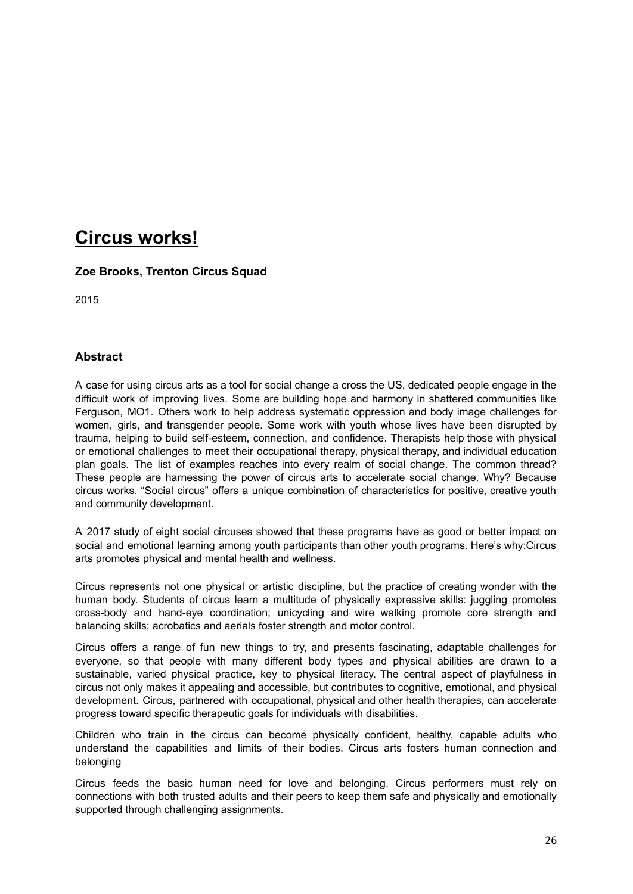## **Circus [works!](http://www.americancircuseducators.org/wp-content/uploads/2015/08/Case-for-Social-Circus.pdf)**

### **Zoe Brooks, Trenton Circus Squad**

2015

### **Abstract**

A case for using circus arts as a tool for social change a cross the US, dedicated people engage in the difficult work of improving lives. Some are building hope and harmony in shattered communities like Ferguson, MO1. Others work to help address systematic oppression and body image challenges for women, girls, and transgender people. Some work with youth whose lives have been disrupted by trauma, helping to build self-esteem, connection, and confidence. Therapists help those with physical or emotional challenges to meet their occupational therapy, physical therapy, and individual education plan goals. The list of examples reaches into every realm of social change. The common thread? These people are harnessing the power of circus arts to accelerate social change. Why? Because circus works. "Social circus" offers a unique combination of characteristics for positive, creative youth and community development.

A 2017 study of eight social circuses showed that these programs have as good or better impact on social and emotional learning among youth participants than other youth programs. Here's why:Circus arts promotes physical and mental health and wellness.

Circus represents not one physical or artistic discipline, but the practice of creating wonder with the human body. Students of circus learn a multitude of physically expressive skills: juggling promotes cross-body and hand-eye coordination; unicycling and wire walking promote core strength and balancing skills; acrobatics and aerials foster strength and motor control.

Circus offers a range of fun new things to try, and presents fascinating, adaptable challenges for everyone, so that people with many different body types and physical abilities are drawn to a sustainable, varied physical practice, key to physical literacy. The central aspect of playfulness in circus not only makes it appealing and accessible, but contributes to cognitive, emotional, and physical development. Circus, partnered with occupational, physical and other health therapies, can accelerate progress toward specific therapeutic goals for individuals with disabilities.

Children who train in the circus can become physically confident, healthy, capable adults who understand the capabilities and limits of their bodies. Circus arts fosters human connection and belonging

Circus feeds the basic human need for love and belonging. Circus performers must rely on connections with both trusted adults and their peers to keep them safe and physically and emotionally supported through challenging assignments.